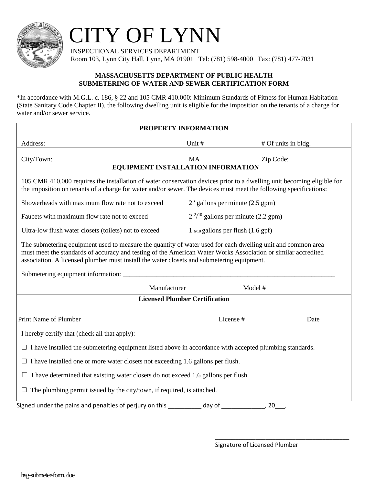

## CITY OF LYNN

 INSPECTIONAL SERVICES DEPARTMENT Room 103, Lynn City Hall, Lynn, MA 01901 Tel: (781) 598-4000 Fax: (781) 477-7031

## **MASSACHUSETTS DEPARTMENT OF PUBLIC HEALTH SUBMETERING OF WATER AND SEWER CERTIFICATION FORM**

\*In accordance with M.G.L. c. 186, § 22 and 105 CMR 410.000: Minimum Standards of Fitness for Human Habitation (State Sanitary Code Chapter II), the following dwelling unit is eligible for the imposition on the tenants of a charge for water and/or sewer service.

| PROPERTY INFORMATION                                                                                                                                                                                                                                                                                                      |                                            |                     |
|---------------------------------------------------------------------------------------------------------------------------------------------------------------------------------------------------------------------------------------------------------------------------------------------------------------------------|--------------------------------------------|---------------------|
| Address:                                                                                                                                                                                                                                                                                                                  | Unit #                                     | # Of units in bldg. |
| City/Town:                                                                                                                                                                                                                                                                                                                | MA                                         | Zip Code:           |
| <b>EQUIPMENT INSTALLATION INFORMATION</b>                                                                                                                                                                                                                                                                                 |                                            |                     |
| 105 CMR 410.000 requires the installation of water conservation devices prior to a dwelling unit becoming eligible for<br>the imposition on tenants of a charge for water and/or sewer. The devices must meet the following specifications:                                                                               |                                            |                     |
| Showerheads with maximum flow rate not to exceed                                                                                                                                                                                                                                                                          | 2 ' gallons per minute (2.5 gpm)           |                     |
| Faucets with maximum flow rate not to exceed                                                                                                                                                                                                                                                                              | $2^{2/10}$ gallons per minute (2.2 gpm)    |                     |
| Ultra-low flush water closets (toilets) not to exceed                                                                                                                                                                                                                                                                     | $1\omega_{10}$ gallons per flush (1.6 gpf) |                     |
| The submetering equipment used to measure the quantity of water used for each dwelling unit and common area<br>must meet the standards of accuracy and testing of the American Water Works Association or similar accredited<br>association. A licensed plumber must install the water closets and submetering equipment. |                                            |                     |
| Manufacturer                                                                                                                                                                                                                                                                                                              |                                            | Model #             |
| <b>Licensed Plumber Certification</b>                                                                                                                                                                                                                                                                                     |                                            |                     |
|                                                                                                                                                                                                                                                                                                                           |                                            |                     |
| Print Name of Plumber                                                                                                                                                                                                                                                                                                     |                                            | License #<br>Date   |
| I hereby certify that (check all that apply):                                                                                                                                                                                                                                                                             |                                            |                     |
| $\Box$ I have installed the submetering equipment listed above in accordance with accepted plumbing standards.                                                                                                                                                                                                            |                                            |                     |
| $\Box$ I have installed one or more water closets not exceeding 1.6 gallons per flush.                                                                                                                                                                                                                                    |                                            |                     |
| $\Box$ I have determined that existing water closets do not exceed 1.6 gallons per flush.                                                                                                                                                                                                                                 |                                            |                     |
| $\Box$ The plumbing permit issued by the city/town, if required, is attached.                                                                                                                                                                                                                                             |                                            |                     |
| Signed under the pains and penalties of perjury on this<br>day of<br>20                                                                                                                                                                                                                                                   |                                            |                     |

7 Dwelling unit is connected directly to a meter installed by a water company and, in accordance

\_\_\_\_\_\_\_\_\_\_\_\_\_\_\_\_\_\_\_\_\_\_\_\_\_\_\_\_\_\_\_\_\_\_\_\_\_\_\_\_